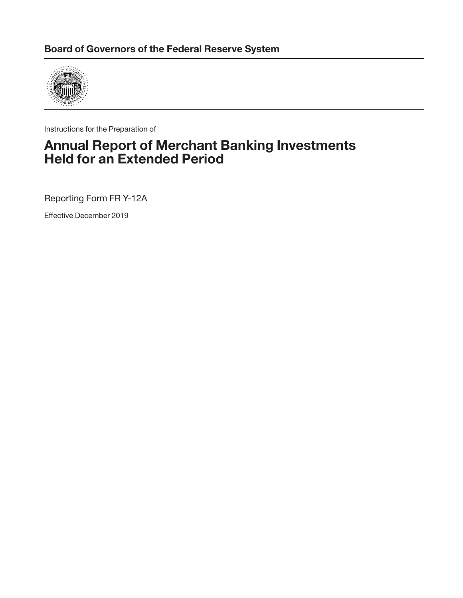

Instructions for the Preparation of

## Annual Report of Merchant Banking Investments Held for an Extended Period

Reporting Form FR Y-12A

Effective December 2019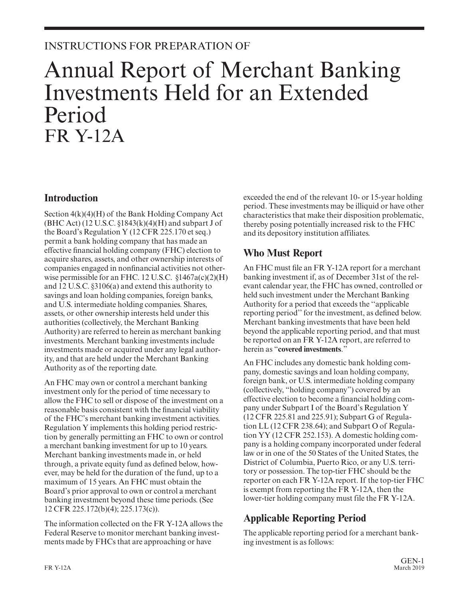## INSTRUCTIONS FOR PREPARATION OF

# Annual Report of Merchant Banking Investments Held for an Extended Period FR Y-12A

### **Introduction**

Section 4(k)(4)(H) of the Bank Holding Company Act (BHC Act) (12 U.S.C.  $\S$ 1843(k)(4)(H) and subpart J of the Board's Regulation Y (12 CFR 225.170 et seq.) permit a bank holding company that has made an effective financial holding company (FHC) election to acquire shares, assets, and other ownership interests of companies engaged in nonfinancial activities not otherwise permissible for an FHC. 12 U.S.C. §1467a(c)(2)(H) and 12 U.S.C. §3106(a) and extend this authority to savings and loan holding companies, foreign banks, and U.S. intermediate holding companies. Shares, assets, or other ownership interests held under this authorities (collectively, the Merchant Banking Authority) are referred to herein as merchant banking investments. Merchant banking investments include investments made or acquired under any legal authority, and that are held under the Merchant Banking Authority as of the reporting date.

An FHC may own or control a merchant banking investment only for the period of time necessary to allow the FHC to sell or dispose of the investment on a reasonable basis consistent with the financial viability of the FHC's merchant banking investment activities. Regulation Y implements this holding period restriction by generally permitting an FHC to own or control a merchant banking investment for up to 10 years. Merchant banking investments made in, or held through, a private equity fund as defined below, however, may be held for the duration of the fund, up to a maximum of 15 years. An FHC must obtain the Board's prior approval to own or control a merchant banking investment beyond these time periods. (See 12 CFR 225.172(b)(4); 225.173(c)).

The information collected on the FR Y-12A allows the Federal Reserve to monitor merchant banking investments made by FHCs that are approaching or have

exceeded the end of the relevant 10- or 15-year holding period. These investments may be illiquid or have other characteristics that make their disposition problematic, thereby posing potentially increased risk to the FHC and its depository institution affiliates.

## **Who Must Report**

An FHC must file an FR Y-12A report for a merchant banking investment if, as of December 31st of the relevant calendar year, the FHC has owned, controlled or held such investment under the Merchant Banking Authority for a period that exceeds the ''applicable reporting period'' for the investment, as defined below. Merchant banking investments that have been held beyond the applicable reporting period, and that must be reported on an FR Y-12A report, are referred to herein as "**covered investments**."

An FHC includes any domestic bank holding company, domestic savings and loan holding company, foreign bank, or U.S. intermediate holding company (collectively, "holding company") covered by an effective election to become a financial holding company under Subpart I of the Board's Regulation Y (12 CFR 225.81 and 225.91); Subpart G of Regulation LL (12 CFR 238.64); and Subpart O of Regulation YY (12 CFR 252.153). A domestic holding company is a holding company incorporated under federal law or in one of the 50 States of the United States, the District of Columbia, Puerto Rico, or any U.S. territory or possession. The top-tier FHC should be the reporter on each FR Y-12A report. If the top-tier FHC is exempt from reporting the FR Y-12A, then the lower-tier holding company must file the FR Y-12A.

## **Applicable Reporting Period**

The applicable reporting period for a merchant banking investment is as follows: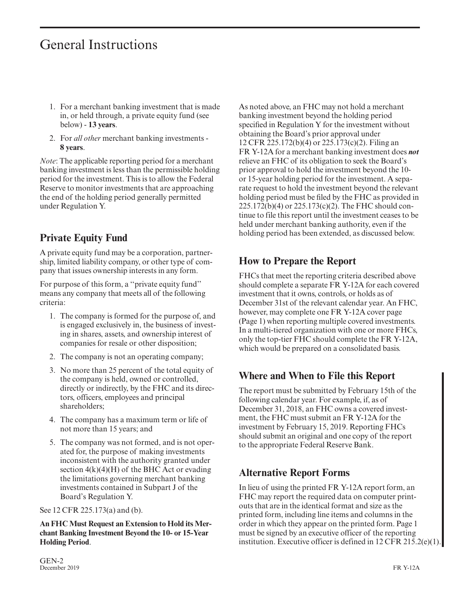# General Instructions

- 1. For a merchant banking investment that is made in, or held through, a private equity fund (see below) - **13 years**.
- 2. For *all other* merchant banking investments **8 years**.

*Note*: The applicable reporting period for a merchant banking investment is less than the permissible holding period for the investment. This is to allow the Federal Reserve to monitor investments that are approaching the end of the holding period generally permitted under Regulation Y.

## **Private Equity Fund**

A private equity fund may be a corporation, partnership, limited liability company, or other type of company that issues ownership interests in any form.

For purpose of this form, a ''private equity fund'' means any company that meets all of the following criteria:

- 1. The company is formed for the purpose of, and is engaged exclusively in, the business of investing in shares, assets, and ownership interest of companies for resale or other disposition;
- 2. The company is not an operating company;
- 3. No more than 25 percent of the total equity of the company is held, owned or controlled, directly or indirectly, by the FHC and its directors, officers, employees and principal shareholders;
- 4. The company has a maximum term or life of not more than 15 years; and
- 5. The company was not formed, and is not operated for, the purpose of making investments inconsistent with the authority granted under section  $4(k)(4)(H)$  of the BHC Act or evading the limitations governing merchant banking investments contained in Subpart J of the Board's Regulation Y.

See 12 CFR 225.173(a) and (b).

**An FHC Must Request an Extension to Hold its Merchant Banking Investment Beyond the 10- or 15-Year Holding Period**.

As noted above, an FHC may not hold a merchant banking investment beyond the holding period specified in Regulation Y for the investment without obtaining the Board's prior approval under 12 CFR 225.172(b)(4) or 225.173(c)(2). Filing an FR Y-12A for a merchant banking investment does *not* relieve an FHC of its obligation to seek the Board's prior approval to hold the investment beyond the 10 or 15-year holding period for the investment. A separate request to hold the investment beyond the relevant holding period must be filed by the FHC as provided in 225.172(b)(4) or 225.173(c)(2). The FHC should continue to file this report until the investment ceases to be held under merchant banking authority, even if the holding period has been extended, as discussed below.

## **How to Prepare the Report**

FHCs that meet the reporting criteria described above should complete a separate FR Y-12A for each covered investment that it owns, controls, or holds as of December 31st of the relevant calendar year. An FHC, however, may complete one FR Y-12A cover page (Page 1) when reporting multiple covered investments. In a multi-tiered organization with one or more FHCs, only the top-tier FHC should complete the FR Y-12A, which would be prepared on a consolidated basis.

## **Where and When to File this Report**

The report must be submitted by February 15th of the following calendar year. For example, if, as of December 31, 2018, an FHC owns a covered investment, the FHC must submit an FR Y-12A for the investment by February 15, 2019. Reporting FHCs should submit an original and one copy of the report to the appropriate Federal Reserve Bank.

## **Alternative Report Forms**

In lieu of using the printed FR Y-12A report form, an FHC may report the required data on computer printouts that are in the identical format and size as the printed form, including line items and columns in the order in which they appear on the printed form. Page 1 must be signed by an executive officer of the reporting institution. Executive officer is defined in 12 CFR 215.2(e)(1).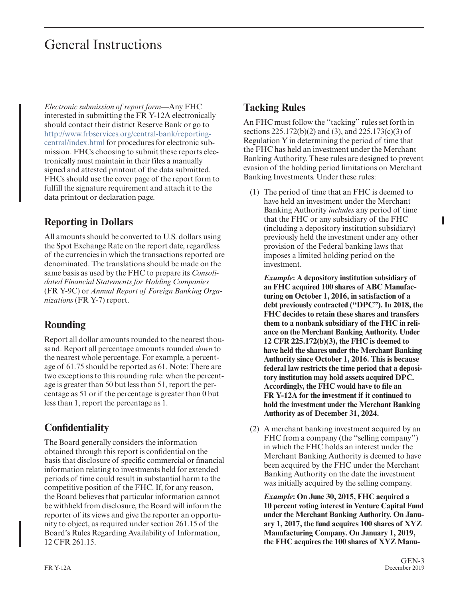# General Instructions

*Electronic submission of report form*—Any FHC interested in submitting the FR Y-12A electronically should contact their district Reserve Bank or go to [http://www.frbservices.org/central-bank/reporting](http://www.frbservices.org/central-bank/reporting-central/index.html)[central/index.html](http://www.frbservices.org/central-bank/reporting-central/index.html) for procedures for electronic submission. FHCs choosing to submit these reports electronically must maintain in their files a manually signed and attested printout of the data submitted. FHCs should use the cover page of the report form to fulfill the signature requirement and attach it to the data printout or declaration page.

## **Reporting in Dollars**

All amounts should be converted to U.S. dollars using the Spot Exchange Rate on the report date, regardless of the currencies in which the transactions reported are denominated. The translations should be made on the same basis as used by the FHC to prepare its *Consolidated Financial Statements for Holding Companies* (FR Y-9C) or *Annual Report of Foreign Banking Organizations* (FR Y-7) report.

## **Rounding**

Report all dollar amounts rounded to the nearest thousand. Report all percentage amounts rounded *down* to the nearest whole percentage. For example, a percentage of 61.75 should be reported as 61. Note: There are two exceptions to this rounding rule: when the percentage is greater than 50 but less than 51, report the percentage as 51 or if the percentage is greater than 0 but less than 1, report the percentage as 1.

## **Confidentiality**

The Board generally considers the information obtained through this report is confidential on the basis that disclosure of specific commercial or financial information relating to investments held for extended periods of time could result in substantial harm to the competitive position of the FHC. If, for any reason, the Board believes that particular information cannot be withheld from disclosure, the Board will inform the reporter of its views and give the reporter an opportunity to object, as required under section 261.15 of the Board's Rules Regarding Availability of Information, 12 CFR 261.15.

## **Tacking Rules**

An FHC must follow the ''tacking'' rules set forth in sections 225.172(b)(2) and (3), and 225.173(c)(3) of Regulation Y in determining the period of time that the FHC has held an investment under the Merchant Banking Authority. These rules are designed to prevent evasion of the holding period limitations on Merchant Banking Investments. Under these rules:

(1) The period of time that an FHC is deemed to have held an investment under the Merchant Banking Authority *includes* any period of time that the FHC or any subsidiary of the FHC (including a depository institution subsidiary) previously held the investment under any other provision of the Federal banking laws that imposes a limited holding period on the investment.

*Example***: A depository institution subsidiary of an FHC acquired 100 shares of ABC Manufacturing on October 1, 2016, in satisfaction of a debt previously contracted (''DPC''). In 2018, the FHC decides to retain these shares and transfers them to a nonbank subsidiary of the FHC in reliance on the Merchant Banking Authority. Under 12 CFR 225.172(b)(3), the FHC is deemed to have held the shares under the Merchant Banking Authority since October 1, 2016. This is because federal law restricts the time period that a depository institution may hold assets acquired DPC. Accordingly, the FHC would have to file an FR Y-12A for the investment if it continued to hold the investment under the Merchant Banking Authority as of December 31, 2024.**

(2) A merchant banking investment acquired by an FHC from a company (the "selling company") in which the FHC holds an interest under the Merchant Banking Authority is deemed to have been acquired by the FHC under the Merchant Banking Authority on the date the investment was initially acquired by the selling company.

*Example***: On June 30, 2015, FHC acquired a 10 percent voting interest in Venture Capital Fund under the Merchant Banking Authority. On January 1, 2017, the fund acquires 100 shares of XYZ Manufacturing Company. On January 1, 2019, the FHC acquires the 100 shares of XYZ Manu-**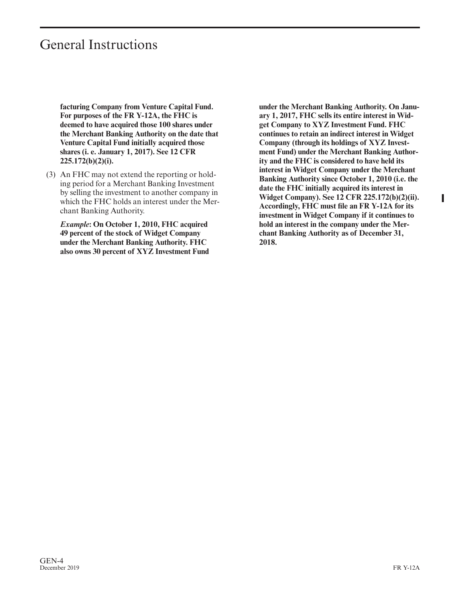## General Instructions

**facturing Company from Venture Capital Fund. For purposes of the FR Y-12A, the FHC is deemed to have acquired those 100 shares under the Merchant Banking Authority on the date that Venture Capital Fund initially acquired those shares (i. e. January 1, 2017). See 12 CFR 225.172(b)(2)(i).**

(3) An FHC may not extend the reporting or holding period for a Merchant Banking Investment by selling the investment to another company in which the FHC holds an interest under the Merchant Banking Authority.

*Example***: On October 1, 2010, FHC acquired 49 percent of the stock of Widget Company under the Merchant Banking Authority. FHC also owns 30 percent of XYZ Investment Fund** **under the Merchant Banking Authority. On January 1, 2017, FHC sells its entire interest in Widget Company to XYZ Investment Fund. FHC continues to retain an indirect interest in Widget Company (through its holdings of XYZ Investment Fund) under the Merchant Banking Authority and the FHC is considered to have held its interest in Widget Company under the Merchant Banking Authority since October 1, 2010 (i.e. the date the FHC initially acquired its interest in Widget Company). See 12 CFR 225.172(b)(2)(ii). Accordingly, FHC must file an FR Y-12A for its investment in Widget Company if it continues to hold an interest in the company under the Merchant Banking Authority as of December 31, 2018.**

Γ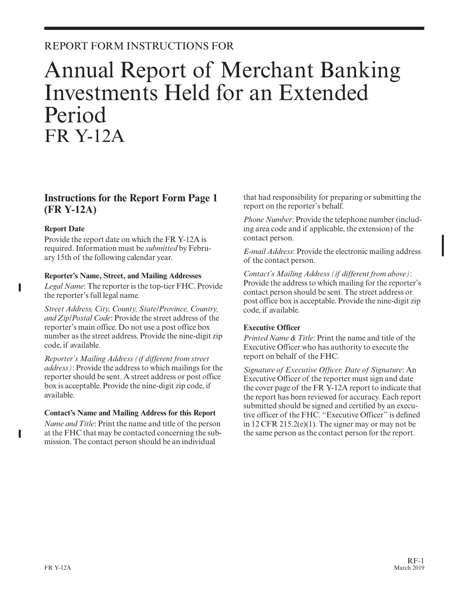## REPORT FORM INSTRUCTIONS FOR

# Annual Report of Merchant Banking Investments Held for an Extended Period FR Y-12A

### **Instructions for the Report Form Page 1 (FR Y-12A)**

#### **Report Date**

Provide the report date on which the FR Y-12A is required. Information must be *submitted* by February 15th of the following calendar year.

#### **Reporter's Name, Street, and Mailing Addresses**

*Legal Name*: The reporter is the top-tier FHC. Provide the reporter's full legal name.

*Street Address, City, County, State/Province, Country, and Zip/Postal Code*: Provide the street address of the reporter's main office. Do not use a post office box number as the street address. Provide the nine-digit zip code, if available.

*Reporter's Mailing Address (if different from street address)*: Provide the address to which mailings for the reporter should be sent. A street address or post office box is acceptable. Provide the nine-digit zip code, if available.

#### **Contact's Name and Mailing Address for this Report**

*Name and Title*: Print the name and title of the person at the FHC that may be contacted concerning the submission. The contact person should be an individual

that had responsibility for preparing or submitting the report on the reporter's behalf.

*Phone Number*: Provide the telephone number (including area code and if applicable, the extension) of the contact person.

*E-mail Address*: Provide the electronic mailing address of the contact person.

*Contact's Mailing Address (if different from above)*: Provide the address to which mailing for the reporter's contact person should be sent. The street address or post office box is acceptable. Provide the nine-digit zip code, if available.

#### **Executive Officer**

*Printed Name & Title*: Print the name and title of the Executive Officer who has authority to execute the report on behalf of the FHC.

*Signature of Executive Offıcer, Date of Signature*: An Executive Officer of the reporter must sign and date the cover page of the FR Y-12A report to indicate that the report has been reviewed for accuracy. Each report submitted should be signed and certified by an executive officer of the FHC. ''Executive Officer'' is defined in 12 CFR 215.2(e)(1). The signer may or may not be the same person as the contact person for the report.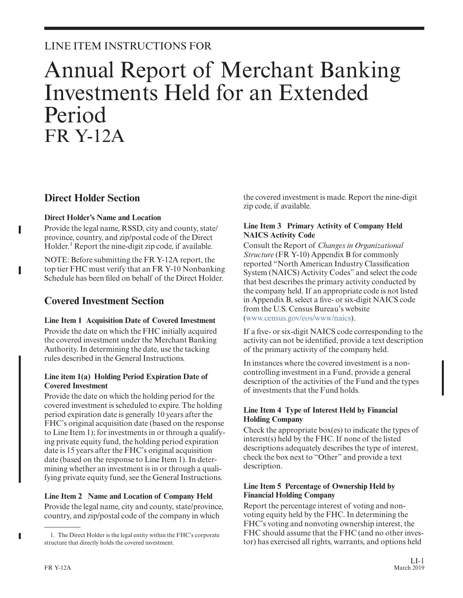## LINE ITEM INSTRUCTIONS FOR

# Annual Report of Merchant Banking Investments Held for an Extended Period FR Y-12A

## **Direct Holder Section**

#### **Direct Holder's Name and Location**

Provide the legal name, RSSD, city and county, state/ province, country, and zip/postal code of the Direct Holder.<sup>1</sup> Report the nine-digit zip code, if available.

NOTE: Before submitting the FR Y-12A report, the top tier FHC must verify that an FR Y-10 Nonbanking Schedule has been filed on behalf of the Direct Holder.

## **Covered Investment Section**

#### **Line Item 1 Acquisition Date of Covered Investment**

Provide the date on which the FHC initially acquired the covered investment under the Merchant Banking Authority. In determining the date, use the tacking rules described in the General Instructions.

#### **Line item 1(a) Holding Period Expiration Date of Covered Investment**

Provide the date on which the holding period for the covered investment is scheduled to expire. The holding period expiration date is generally 10 years after the FHC's original acquisition date (based on the response to Line Item 1); for investments in or through a qualifying private equity fund, the holding period expiration date is 15 years after the FHC's original acquisition date (based on the response to Line Item 1). In determining whether an investment is in or through a qualifying private equity fund, see the General Instructions.

**Line Item 2 Name and Location of Company Held** Provide the legal name, city and county, state/province, country, and zip/postal code of the company in which

the covered investment is made. Report the nine-digit zip code, if available.

#### **Line Item 3 Primary Activity of Company Held NAICS Activity Code**

Consult the Report of *Changes in Organizational Structure* (FR Y-10) Appendix B for commonly reported "North American Industry Classification System (NAICS) Activity Codes" and select the code that best describes the primary activity conducted by the company held. If an appropriate code is not listed in Appendix B, select a five- or six-digit NAICS code from the U.S. Census Bureau's website [\(www.census.gov/eos/www/naics\)](http://www.census.gov/eos/www/naics).

If a five- or six-digit NAICS code corresponding to the activity can not be identified, provide a text description of the primary activity of the company held.

In instances where the covered investment is a noncontrolling investment in a Fund, provide a general description of the activities of the Fund and the types of investments that the Fund holds.

#### **Line Item 4 Type of Interest Held by Financial Holding Company**

Check the appropriate box(es) to indicate the types of interest(s) held by the FHC. If none of the listed descriptions adequately describes the type of interest, check the box next to "Other" and provide a text description.

#### **Line Item 5 Percentage of Ownership Held by Financial Holding Company**

Report the percentage interest of voting and nonvoting equity held by the FHC. In determining the FHC's voting and nonvoting ownership interest, the FHC should assume that the FHC (and no other investor) has exercised all rights, warrants, and options held

<sup>1.</sup> The Direct Holder is the legal entity within the FHC's corporate structure that directly holds the covered investment.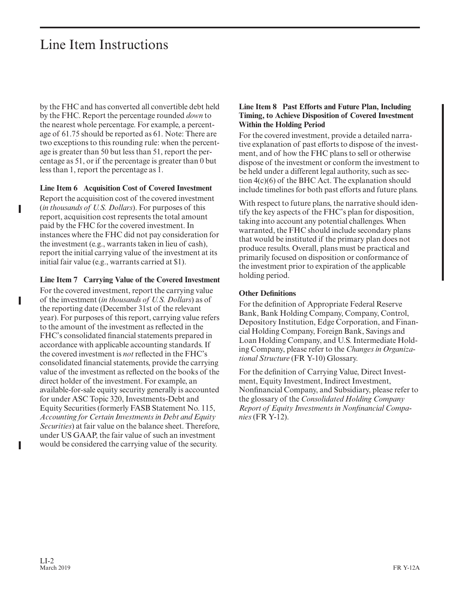# Line Item Instructions

by the FHC and has converted all convertible debt held by the FHC. Report the percentage rounded *down* to the nearest whole percentage. For example, a percentage of 61.75 should be reported as 61. Note: There are two exceptions to this rounding rule: when the percentage is greater than 50 but less than 51, report the percentage as 51, or if the percentage is greater than 0 but less than 1, report the percentage as 1.

#### **Line Item 6 Acquisition Cost of Covered Investment**

Report the acquisition cost of the covered investment (*in thousands of U.S. Dollars*). For purposes of this report, acquisition cost represents the total amount paid by the FHC for the covered investment. In instances where the FHC did not pay consideration for the investment (e.g., warrants taken in lieu of cash), report the initial carrying value of the investment at its initial fair value (e.g., warrants carried at \$1).

#### **Line Item 7 Carrying Value of the Covered Investment**

For the covered investment, report the carrying value of the investment (*in thousands of U.S. Dollars*) as of the reporting date (December 31st of the relevant year). For purposes of this report, carrying value refers to the amount of the investment as reflected in the FHC's consolidated financial statements prepared in accordance with applicable accounting standards. If the covered investment is *not* reflected in the FHC's consolidated financial statements, provide the carrying value of the investment as reflected on the books of the direct holder of the investment. For example, an available-for-sale equity security generally is accounted for under ASC Topic 320, Investments-Debt and Equity Securities (formerly FASB Statement No. 115, *Accounting for Certain Investments in Debt and Equity Securities*) at fair value on the balance sheet. Therefore, under US GAAP, the fair value of such an investment would be considered the carrying value of the security.

#### **Line Item 8 Past Efforts and Future Plan, Including Timing, to Achieve Disposition of Covered Investment Within the Holding Period**

For the covered investment, provide a detailed narrative explanation of past efforts to dispose of the investment, and of how the FHC plans to sell or otherwise dispose of the investment or conform the investment to be held under a different legal authority, such as section 4(c)(6) of the BHC Act. The explanation should include timelines for both past efforts and future plans.

With respect to future plans, the narrative should identify the key aspects of the FHC's plan for disposition, taking into account any potential challenges. When warranted, the FHC should include secondary plans that would be instituted if the primary plan does not produce results. Overall, plans must be practical and primarily focused on disposition or conformance of the investment prior to expiration of the applicable holding period.

#### **Other Definitions**

For the definition of Appropriate Federal Reserve Bank, Bank Holding Company, Company, Control, Depository Institution, Edge Corporation, and Financial Holding Company, Foreign Bank, Savings and Loan Holding Company, and U.S. Intermediate Holding Company, please refer to the *Changes in Organizational Structure* (FR Y-10) Glossary.

For the definition of Carrying Value, Direct Investment, Equity Investment, Indirect Investment, Nonfinancial Company, and Subsidiary, please refer to the glossary of the *Consolidated Holding Company Report of Equity Investments in Nonfinancial Companies* (FR Y-12).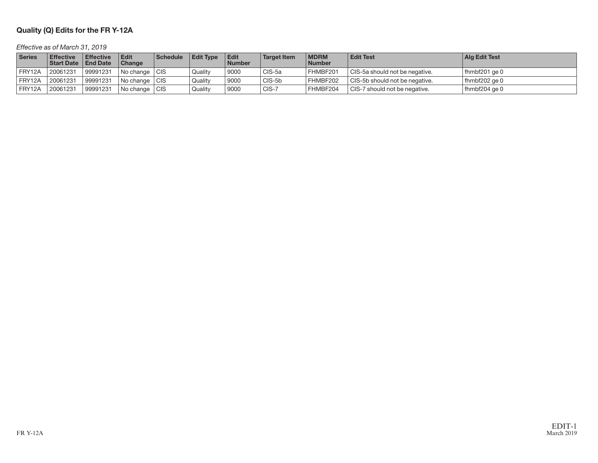#### Quality (Q) Edits for the FR Y-12A

#### Effective as of March 31, 2019

| Series | <b>Effective</b><br><b>Start Date</b> | <b>Effective</b><br>  End Date | Edit<br>Change  | <b>Schedule</b> | <b>Edit Type</b> | <b>Edit</b><br><b>Number</b> | <b>Target Item</b> | <b>MDRM</b><br><b>Number</b> | <b>Edit Test</b>                 | Ala Edit Test      |
|--------|---------------------------------------|--------------------------------|-----------------|-----------------|------------------|------------------------------|--------------------|------------------------------|----------------------------------|--------------------|
| FRY12A | 20061231                              | 99991231                       | No change   CIS |                 | Quality          | 9000                         | CIS-5a             | FHMBF201                     | CIS-5a should not be negative.   | fhmbf201 ge 0      |
| FRY12A | 20061231                              | 99991231                       | l No change     | i CIS           | Quality          | 9000                         | CIS-5b             | FHMBF202                     | l CIS-5b should not be negative. | fhmbf202 ge 0      |
| FRY12A | 20061231                              | 99991231                       | l No change l   | ∟CIS            | Quality          | 9000                         | CIS-7              | FHMBF204                     | CIS-7 should not be negative.    | fhmbf $204$ ge $0$ |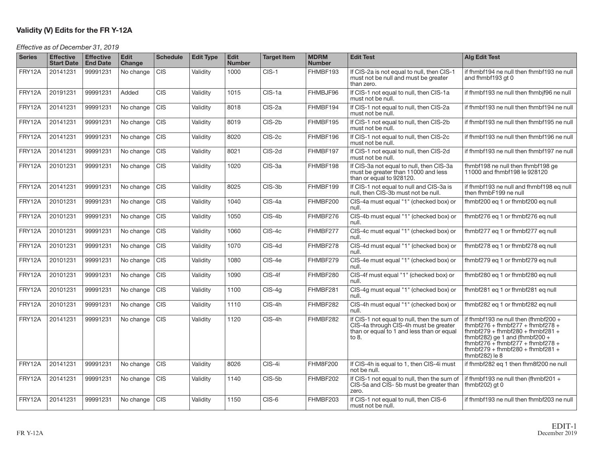#### Validity (V) Edits for the FR Y-12A

Effective as of December 31, 2019

| <b>Series</b> | <b>Effective</b><br><b>Start Date</b> | <b>Effective</b><br><b>End Date</b> | <b>Edit</b><br>Change | <b>Schedule</b> | <b>Edit Type</b> | <b>Edit</b><br><b>Number</b> | <b>Target Item</b> | <b>MDRM</b><br><b>Number</b> | <b>Edit Test</b>                                                                                                                           | <b>Alg Edit Test</b>                                                                                                                                                                                                                                     |
|---------------|---------------------------------------|-------------------------------------|-----------------------|-----------------|------------------|------------------------------|--------------------|------------------------------|--------------------------------------------------------------------------------------------------------------------------------------------|----------------------------------------------------------------------------------------------------------------------------------------------------------------------------------------------------------------------------------------------------------|
| FRY12A        | 20141231                              | 99991231                            | No change             | <b>CIS</b>      | Validity         | 1000                         | $CIS-1$            | FHMBF193                     | If CIS-2a is not equal to null, then CIS-1<br>must not be null and must be greater<br>than zero.                                           | if fhmbf194 ne null then fhmbf193 ne null<br>and fhmbf193 gt 0                                                                                                                                                                                           |
| FRY12A        | 20191231                              | 99991231                            | Added                 | <b>CIS</b>      | Validity         | 1015                         | CIS-1a             | FHMBJF96                     | If CIS-1 not equal to null, then CIS-1a<br>must not be null.                                                                               | if fhmbf193 ne null then fhmbjf96 ne null                                                                                                                                                                                                                |
| FRY12A        | 20141231                              | 99991231                            | No change             | <b>CIS</b>      | Validity         | 8018                         | CIS-2a             | FHMBF194                     | If CIS-1 not equal to null, then CIS-2a<br>must not be null.                                                                               | if fhmbf193 ne null then fhmbf194 ne null                                                                                                                                                                                                                |
| FRY12A        | 20141231                              | 99991231                            | No change             | <b>CIS</b>      | Validity         | 8019                         | CIS-2b             | FHMBF195                     | If CIS-1 not equal to null, then CIS-2b<br>must not be null.                                                                               | if fhmbf193 ne null then fhmbf195 ne null                                                                                                                                                                                                                |
| FRY12A        | 20141231                              | 99991231                            | No change             | CIS             | Validity         | 8020                         | CIS-2c             | FHMBF196                     | If CIS-1 not equal to null, then CIS-2c<br>must not be null.                                                                               | if fhmbf193 ne null then fhmbf196 ne null                                                                                                                                                                                                                |
| FRY12A        | 20141231                              | 99991231                            | No change             | <b>CIS</b>      | Validity         | 8021                         | CIS-2d             | FHMBF197                     | If CIS-1 not equal to null, then CIS-2d<br>must not be null.                                                                               | if fhmbf193 ne null then fhmbf197 ne null                                                                                                                                                                                                                |
| FRY12A        | 20101231                              | 99991231                            | No change             | <b>CIS</b>      | Validity         | 1020                         | CIS-3a             | FHMBF198                     | If CIS-3a not equal to null, then CIS-3a<br>must be greater than 11000 and less<br>than or equal to 928120.                                | fhmbf198 ne null then fhmbf198 ge<br>11000 and fhmbf198 le 928120                                                                                                                                                                                        |
| FRY12A        | 20141231                              | 99991231                            | No change             | <b>CIS</b>      | Validity         | 8025                         | CIS-3b             | FHMBF199                     | If CIS-1 not equal to null and CIS-3a is<br>null, then CIS-3b must not be null.                                                            | if fhmbf193 ne null and fhmbf198 eq null<br>then fhmbF199 ne null                                                                                                                                                                                        |
| FRY12A        | 20101231                              | 99991231                            | No change             | <b>CIS</b>      | Validity         | 1040                         | CIS-4a             | FHMBF200                     | CIS-4a must equal "1" (checked box) or<br>null.                                                                                            | fhmbf200 eq 1 or fhmbf200 eq null                                                                                                                                                                                                                        |
| FRY12A        | 20101231                              | 99991231                            | No change             | <b>CIS</b>      | Validity         | 1050                         | CIS-4b             | FHMBF276                     | CIS-4b must equal "1" (checked box) or<br>null.                                                                                            | fhmbf276 eq 1 or fhmbf276 eq null                                                                                                                                                                                                                        |
| FRY12A        | 20101231                              | 99991231                            | No change             | <b>CIS</b>      | Validity         | 1060                         | CIS-4c             | FHMBF277                     | CIS-4c must equal "1" (checked box) or<br>null.                                                                                            | fhmbf277 eq 1 or fhmbf277 eq null                                                                                                                                                                                                                        |
| FRY12A        | 20101231                              | 99991231                            | No change             | <b>CIS</b>      | Validity         | 1070                         | CIS-4d             | FHMBF278                     | CIS-4d must equal "1" (checked box) or<br>null.                                                                                            | fhmbf278 eq 1 or fhmbf278 eq null                                                                                                                                                                                                                        |
| FRY12A        | 20101231                              | 99991231                            | No change             | <b>CIS</b>      | Validity         | 1080                         | CIS-4e             | FHMBF279                     | CIS-4e must equal "1" (checked box) or<br>null.                                                                                            | fhmbf279 eq 1 or fhmbf279 eq null                                                                                                                                                                                                                        |
| FRY12A        | 20101231                              | 99991231                            | No change             | <b>CIS</b>      | Validity         | 1090                         | $CIS-4f$           | FHMBF280                     | CIS-4f must equal "1" (checked box) or<br>null.                                                                                            | fhmbf280 eq 1 or fhmbf280 eq null                                                                                                                                                                                                                        |
| FRY12A        | 20101231                              | 99991231                            | No change             | <b>CIS</b>      | Validity         | 1100                         | $CIS-4g$           | FHMBF281                     | CIS-4g must equal "1" (checked box) or<br>null.                                                                                            | fhmbf281 eq 1 or fhmbf281 eq null                                                                                                                                                                                                                        |
| FRY12A        | 20101231                              | 99991231                            | No change             | <b>CIS</b>      | Validity         | 1110                         | CIS-4h             | FHMBF282                     | CIS-4h must equal "1" (checked box) or<br>null.                                                                                            | fhmbf282 eq 1 or fhmbf282 eq null                                                                                                                                                                                                                        |
| FRY12A        | 20141231                              | 99991231                            | No change             | <b>CIS</b>      | Validity         | 1120                         | CIS-4h             | FHMBF282                     | If CIS-1 not equal to null, then the sum of<br>CIS-4a through CIS-4h must be greater<br>than or equal to 1 and less than or equal<br>to 8. | if fhmbf193 ne null then (fhmbf200 $+$<br>fhmbf276 + fhmbf277 + fhmbf278 +<br>fhmbf279 + fhmbf280 + fhmbf281 +<br>fhmbf282) ge 1 and (fhmbf200 +<br>$f hmbf276 + f hmbf277 + f hmbf278 +$<br>$f$ hmbf279 + fhmbf280 + fhmbf281 +<br>fhmbf $282$ ) le $8$ |
| FRY12A        | 20141231                              | 99991231                            | No change             | <b>CIS</b>      | Validity         | 8026                         | CIS-4i             | <b>FHM8F200</b>              | If CIS-4h is equal to 1, then CIS-4i must<br>not be null.                                                                                  | if fhmbf282 eq 1 then fhm8f200 ne null                                                                                                                                                                                                                   |
| FRY12A        | 20141231                              | 99991231                            | No change             | <b>CIS</b>      | Validity         | 1140                         | CIS-5b             | FHMBF202                     | If CIS-1 not equal to null, then the sum of<br>CIS-5a and CIS-5b must be greater than<br>zero.                                             | if fhmbf193 ne null then (fhmbf201 $+$<br>fhmbf $202$ ) gt 0                                                                                                                                                                                             |
| FRY12A        | 20141231                              | 99991231                            | No change             | <b>CIS</b>      | Validity         | 1150                         | CIS-6              | FHMBF203                     | If CIS-1 not equal to null, then CIS-6<br>must not be null.                                                                                | if fhmbf193 ne null then fhmbf203 ne null                                                                                                                                                                                                                |